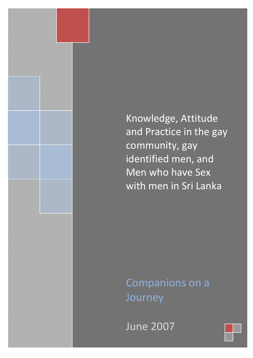Knowledge, Attitude and Practice in the gay community, gay identified men, and Men who have Sex with men in Sri Lanka

Companions on a Journey

 $\blacksquare$   $\blacksquare$   $\blacksquare$   $\blacksquare$   $\blacksquare$   $\blacksquare$   $\blacksquare$   $\blacksquare$   $\blacksquare$   $\blacksquare$   $\blacksquare$   $\blacksquare$   $\blacksquare$   $\blacksquare$   $\blacksquare$   $\blacksquare$   $\blacksquare$   $\blacksquare$   $\blacksquare$   $\blacksquare$   $\blacksquare$   $\blacksquare$   $\blacksquare$   $\blacksquare$   $\blacksquare$   $\blacksquare$   $\blacksquare$   $\blacksquare$   $\blacksquare$   $\blacksquare$   $\blacksquare$   $\blacks$ June <sup>2007</sup>

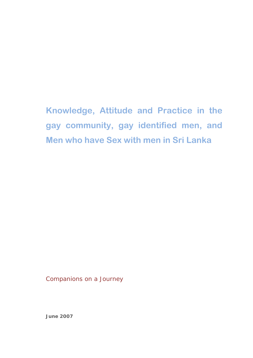**Knowledge, Attitude and Practice in the gay community, gay identified men, and Men who have Sex with men in Sri Lanka**

Companions on a Journey

**June 2007**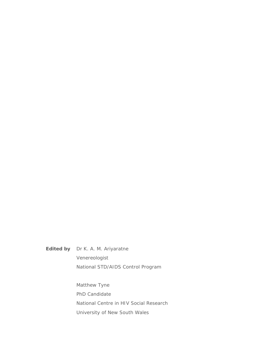**Edited by** Dr K. A. M. Ariyaratne Venereologist National STD/AIDS Control Program

> Matthew Tyne PhD Candidate National Centre in HIV Social Research University of New South Wales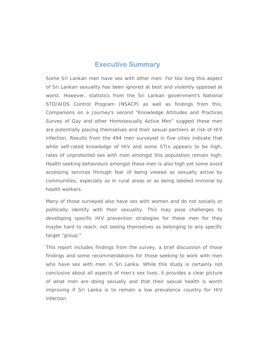## **Executive Summary**

Some Sri Lankan men have sex with other men. For too long this aspect of Sri Lankan sexuality has been ignored at best and violently opposed at worst. However, statistics from the Sri Lankan government's National STD/AIDS Control Program (NSACP) as well as findings from this, Companions on a Journey's second "Knowledge Attitudes and Practices Survey of Gay and other Homosexually Active Men" suggest these men are potentially placing themselves and their sexual partners at risk of HIV infection. Results from the 494 men surveyed in five cities indicate that while self-rated knowledge of HIV and some STIs appears to be high, rates of unprotected sex with men amongst this population remain high. Health seeking behaviours amongst these men is also high yet some avoid accessing services through fear of being viewed as sexually active by communities, especially so in rural areas or as being labeled immoral by health workers.

Many of those surveyed also have sex with women and do not socially or politically identify with their sexuality. This may pose challenges to developing specific HIV prevention strategies for these men for they maybe hard to reach, not seeing themselves as belonging to any specific target "group."

This report includes findings from the survey, a brief discussion of those findings and some recommendations for those seeking to work with men who have sex with men in Sri Lanka. While this study is certainly not conclusive about all aspects of men's sex lives, it provides a clear picture of what men are doing sexually and that their sexual health is worth improving if Sri Lanka is to remain a low prevalence country for HIV infection.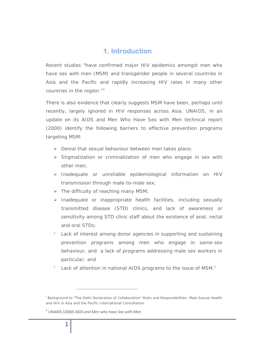# **1. Introduction**

Recent studies "have confirmed major HIV epidemics amongst men who have sex with men (MSM) and transgender people in several countries in Asia and the Pacific and rapidly increasing HIV rates in many other countries in the region."<sup>[1](#page-4-0)</sup>

There is also evidence that clearly suggests MSM have been, perhaps until recently, largely ignored in HIV responses across Asia. UNAIDS, in an update on its *AIDS and Men Who Have Sex with Men* technical report (2000) identify the following barriers to effective prevention programs targeting MSM:

- $\triangleright$  Denial that sexual behaviour between men takes place;
- $\triangleright$  Stigmatization or criminalization of men who engage in sex with other men;
- ¾ Inadequate or unreliable epidemiological information on HIV transmission through male-to-male sex;
- $\triangleright$  The difficulty of reaching many MSM;
- $\triangleright$  Inadequate or inappropriate health facilities, including sexually transmitted disease (STD) clinics, and lack of awareness or sensitivity among STD clinic staff about the existence of anal, rectal and oral STDs;
- Lack of interest among donor agencies in supporting and sustaining prevention programs among men who engage in same-sex behaviour, and a lack of programs addressing male sex workers in particular; and
- Lack of attention in national AIDS programs to the issue of MSM.<sup>[2](#page-4-1)</sup>

<span id="page-4-1"></span><sup>2</sup> UNAIDS (2000) *AIDS and Men who have Sex with Men*

<span id="page-4-0"></span><sup>1</sup> Background to "The Delhi Declaration of Collaboration" Risks and Responsibilities: Male Sexual Health and HIV in Asia and the Pacific International Consultation.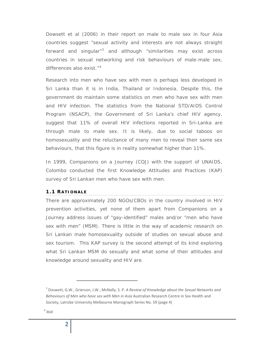Dowsett et al (2006) in their report on male to male sex in four Asia countries suggest "sexual activity and interests are not always straight forward and singular"[3](#page-5-0) and although "similarities may exist across countries in sexual networking and risk behaviours of male-male sex, differences also exist."<sup>[4](#page-5-1)</sup>

Research into men who have sex with men is perhaps less developed in Sri Lanka than it is in India, Thailand or Indonesia. Despite this, the government do maintain some statistics on men who have sex with men and HIV infection. The statistics from the National STD/AIDS Control Program (NSACP), the Government of Sri Lanka's chief HIV agency, suggest that 11% of overall HIV infections reported in Sri-Lanka are through male to male sex. It is likely, due to social taboos on homosexuality and the reluctance of many men to reveal their same sex behaviours, that this figure is in reality somewhat higher than 11%.

In 1999, Companions on a Journey (COJ) with the support of UNAIDS, Colombo conducted the first Knowledge Attitudes and Practices (KAP) survey of Sri Lankan men who have sex with men.

#### **1.1 RATIONALE**

There are approximately 200 NGOs/CBOs in the country involved in HIV prevention activities, yet none of them apart from Companions on a Journey address issues of "gay-identified" males and/or "men who have sex with men" (MSM). There is little in the way of academic research on Sri Lankan male homosexuality outside of studies on sexual abuse and sex tourism. This KAP survey is the second attempt of its kind exploring what Sri Lankan MSM do sexually and what some of their attitudes and knowledge around sexuality and HIV are.

<span id="page-5-1"></span><span id="page-5-0"></span><sup>3</sup> Doswett, G.W., Grierson, J.W., McNally, S. P. *A Review of Knowledge about the Sexual Networks and Behaviours of Men who have sex with Men in Asia* Australian Research Centre in Sex Health and Society, Latrobe University Melbourne Monograph Series No. 59 (page 4)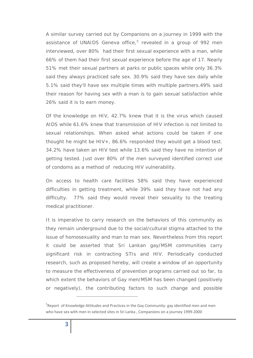A similar survey carried out by Companions on a journey in 1999 with the assistance of UNAIDS Geneva office, $5$  revealed in a group of 992 men interviewed, over 80% had their first sexual experience with a man, while 66% of them had their first sexual experience before the age of 17*.* Nearly 51% met their sexual partners at parks or public spaces while only 36.3% said they always practiced safe sex. 30.9% said they have sex daily while 5.1% said they'll have sex multiple times with multiple partners.49% said their reason for having sex with a man is to gain sexual satisfaction while 26% said it is to earn money.

Of the knowledge on HIV, 42.7% knew that it is the virus which caused AIDS while 61.6% knew that transmission of HIV infection is not limited to sexual relationships. When asked what actions could be taken if one thought he might be HIV+, 86.6% responded they would get a blood test. 34.2% have taken an HIV test while 13.6% said they have no intention of getting tested. Just over 80% of the men surveyed identified correct use of condoms as a method of reducing HIV vulnerability.

On access to health care facilities 58% said they have experienced difficulties in getting treatment, while 39% said they have not had any difficulty. 77% said they would reveal their sexuality to the treating medical practitioner.

It is imperative to carry research on the behaviors of this community as they remain underground due to the social/cultural stigma attached to the issue of homosexuality and man to man sex. Nevertheless from this report it could be asserted that Sri Lankan gay/MSM communities carry significant risk in contracting STIs and HIV. Periodically conducted research, such as proposed hereby, will create a window of an opportunity to measure the effectiveness of prevention programs carried out so far, to which extent the behaviors of Gay men/MSM has been changed (positively or negatively), the contributing factors to such change and possible

<u> The Communication of the Communication of the Communication of the Communication of the Communication of the Co</u>

<span id="page-6-0"></span><sup>&</sup>lt;sup>5</sup>Report of Knowledge Attitudes and Practices in the Gay Community- gay identified men and men who have sex with men in selected sites in Sri Lanka, Companions on a journey 1999-2000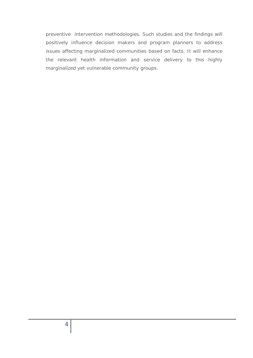preventive intervention methodologies. Such studies and the findings will positively influence decision makers and program planners to address issues affecting marginalized communities based on facts. It will enhance the relevant health information and service delivery to this highly marginalized yet vulnerable community groups.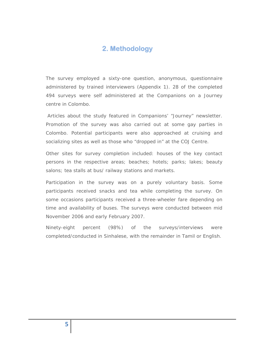## **2. Methodology**

The survey employed a sixty-one question, anonymous, questionnaire administered by trained interviewers (Appendix 1). 28 of the completed 494 surveys were self administered at the Companions on a Journey centre in Colombo.

 Articles about the study featured in Companions' "Journey" newsletter. Promotion of the survey was also carried out at some gay parties in Colombo. Potential participants were also approached at cruising and socializing sites as well as those who "dropped in" at the COJ Centre.

Other sites for survey completion included: houses of the key contact persons in the respective areas; beaches; hotels; parks; lakes; beauty salons; tea stalls at bus/ railway stations and markets.

Participation in the survey was on a purely voluntary basis. Some participants received snacks and tea while completing the survey. On some occasions participants received a three-wheeler fare depending on time and availability of buses. The surveys were conducted between mid November 2006 and early February 2007.

Ninety-eight percent (98%) of the surveys/interviews were completed/conducted in Sinhalese, with the remainder in Tamil or English.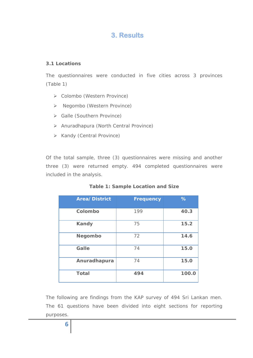# **3. Results**

## **3.1 Locations**

The questionnaires were conducted in five cities across 3 provinces (Table 1)

- ¾ Colombo (Western Province)
- ¾ Negombo (Western Province)
- ¾ Galle (Southern Province)
- ¾ Anuradhapura (North Central Province)
- ¾ Kandy (Central Province)

Of the total sample, three (3) questionnaires were missing and another three (3) were returned empty. 494 completed questionnaires were included in the analysis.

| <b>Area/District</b> | <b>Frequency</b> | $\%$  |
|----------------------|------------------|-------|
| Colombo              | 199              | 40.3  |
| <b>Kandy</b>         | 75               | 15.2  |
| <b>Negombo</b>       | 72               | 14.6  |
| Galle                | 74               | 15.0  |
| Anuradhapura         | 74               | 15.0  |
| <b>Total</b>         | 494              | 100.0 |

|  |  |  | <b>Table 1: Sample Location and Size</b> |  |  |
|--|--|--|------------------------------------------|--|--|
|--|--|--|------------------------------------------|--|--|

The following are findings from the KAP survey of 494 Sri Lankan men. The 61 questions have been divided into eight sections for reporting purposes.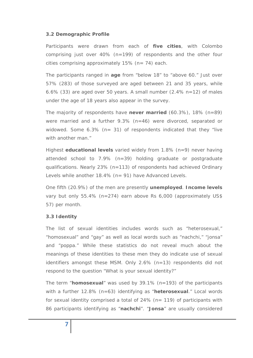## **3.2 Demographic Profile**

Participants were drawn from each of **five cities**, with Colombo comprising just over 40% (n=199) of respondents and the other four cities comprising approximately  $15\%$  (n= 74) each.

The participants ranged in **age** from "below 18" to "above 60." Just over 57% (283) of those surveyed are aged between 21 and 35 years, while 6.6% (33) are aged over 50 years. A small number (2.4% n=12) of males under the age of 18 years also appear in the survey.

The majority of respondents have **never married** (60.3%), 18% (n=89) were married and a further 9.3% (n=46) were divorced, separated or widowed. Some  $6.3\%$  (n= 31) of respondents indicated that they "live with another man."

Highest **educational levels** varied widely from 1.8% (n=9) never having attended school to 7.9% (n=39) holding graduate or postgraduate qualifications. Nearly 23% (n=113) of respondents had achieved Ordinary Levels while another 18.4% (n= 91) have Advanced Levels.

One fifth (20.9%) of the men are presently **unemployed**. **Income levels** vary but only 55.4% (n=274) earn above Rs 6,000 (approximately US\$ 57) per month.

## **3.3 Identity**

The list of sexual identities includes words such as "heterosexual," "homosexual" and "gay" as well as local words such as "nachchi," "jonsa" and "poppa." While these statistics do not reveal much about the meanings of these identities to these men they do indicate use of sexual identifiers amongst these MSM. Only 2.6% (n=13) respondents did not respond to the question "*What is your sexual identity?"*

The term "**homosexual**" was used by 39.1% (n=193) of the participants with a further 12.8% (n=63) identifying as "**heterosexual**." Local words for sexual identity comprised a total of 24% (n= 119) of participants with 86 participants identifying as "**nachchi**". "**Jonsa**" are usually considered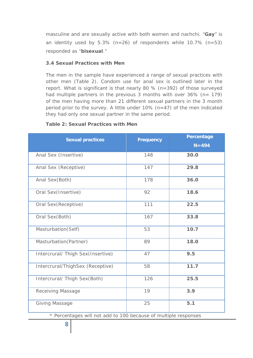masculine and are sexually active with both women and nachchi. "**Gay**" is an identity used by  $5.3\%$  (n=26) of respondents while 10.7% (n=53) responded as "**bisexual**."

## **3.4 Sexual Practices with Men**

The men in the sample have experienced a range of sexual practices with other men (Table 2). Condom use for anal sex is outlined later in the report. What is significant is that nearly 80 % (n=392) of those surveyed had multiple partners in the previous 3 months with over 36% (n= 179) of the men having more than 21 different sexual partners in the 3 month period prior to the survey. A little under 10% (n=47) of the men indicated they had only one sexual partner in the same period.

## **Table 2: Sexual Practices with Men**

| <b>Sexual practices</b>                                         | <b>Frequency</b> | Percentage |  |
|-----------------------------------------------------------------|------------------|------------|--|
|                                                                 |                  | $N = 494$  |  |
| Anal Sex (Insertive)                                            | 148              | 30.0       |  |
| Anal Sex (Receptive)                                            | 147              | 29.8       |  |
| Anal Sex(Both)                                                  | 178              | 36.0       |  |
| Oral Sex(Insertive)                                             | 92               | 18.6       |  |
| Oral Sex(Receptive)                                             | 111              | 22.5       |  |
| Oral Sex(Both)                                                  | 167              | 33.8       |  |
| Masturbation(Self)                                              | 53               | 10.7       |  |
| Masturbation (Partner)                                          | 89               | 18.0       |  |
| Intercrural/ Thigh Sex(Insertive)                               | 47               | 9.5        |  |
| Intercrural/ThighSex (Receptive)                                | 58               | 11.7       |  |
| Intercrural/ Thigh Sex(Both)                                    | 126              | 25.5       |  |
| <b>Receiving Massage</b>                                        | 19               | 3.9        |  |
| <b>Giving Massage</b>                                           | 25               | 5.1        |  |
| * Percentages will not add to 100 because of multiple responses |                  |            |  |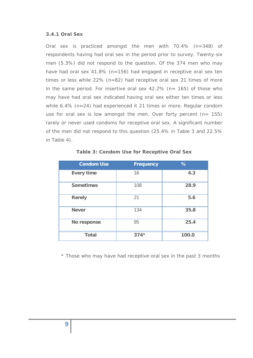#### **3.4.1 Oral Sex**

Oral sex is practiced amongst the men with 70.4% (n=348) of respondents having had oral sex in the period prior to survey. Twenty-six men (5.3%) did not respond to the question. Of the 374 men who may have had oral sex 41.8% (n=156) had engaged in receptive oral sex ten times or less while 22% (n=82) had receptive oral sex 21 times of more in the same period. For insertive oral sex 42.2% (n= 165) of those who may have had oral sex indicated having oral sex either ten times or less while 6.4% (n=24) had experienced it 21 times or more. Regular condom use for oral sex is low amongst the men. Over forty percent  $(n= 155)$ rarely or never used condoms for receptive oral sex. A significant number of the men did not respond to this question (25.4% in Table 3 and 22.5% in Table 4).

| <b>Condom Use</b> | <b>Frequency</b> | $\%$  |
|-------------------|------------------|-------|
| <b>Every time</b> | 16               | 4.3   |
| <b>Sometimes</b>  | 108              | 28.9  |
| Rarely            | 21               | 5.6   |
| <b>Never</b>      | 134              | 35.8  |
| No response       | 95               | 25.4  |
| <b>Total</b>      | $374*$           | 100.0 |

**Table 3: Condom Use for Receptive Oral Sex** 

\* Those who may have had receptive oral sex in the past 3 months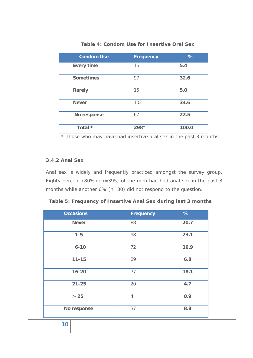| <b>Condom Use</b> | <b>Frequency</b> | %     |
|-------------------|------------------|-------|
| <b>Every time</b> | 16               | 5.4   |
| <b>Sometimes</b>  | 97               | 32.6  |
| Rarely            | 15               | 5.0   |
| <b>Never</b>      | 103              | 34.6  |
| No response       | 67               | 22.5  |
| Total *           | $298*$           | 100.0 |

**Table 4: Condom Use for Insertive Oral Sex** 

\* Those who may have had insertive oral sex in the past 3 months

#### **3.4.2 Anal Sex**

Anal sex is widely and frequently practiced amongst the survey group. Eighty percent (80%) (n=395) of the men had had anal sex in the past 3 months while another 6% (n=30) did not respond to the question.

|  | Table 5: Frequency of Insertive Anal Sex during last 3 months |
|--|---------------------------------------------------------------|
|--|---------------------------------------------------------------|

| <b>Occasions</b> | <b>Frequency</b> | $\frac{9}{6}$ |
|------------------|------------------|---------------|
| <b>Never</b>     | 88               | 20.7          |
| $1 - 5$          | 98               | 23.1          |
| $6 - 10$         | 72               | 16.9          |
| $11 - 15$        | 29               | 6.8           |
| $16 - 20$        | 77               | 18.1          |
| $21 - 25$        | 20               | 4.7           |
| $>25$            | $\overline{4}$   | 0.9           |
| No response      | 37               | 8.8           |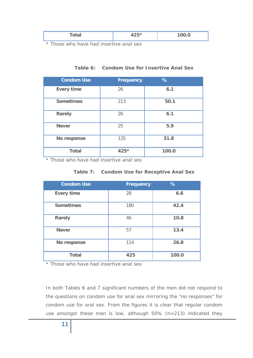|--|--|--|

\* Those who have had insertive anal sex

| <b>Condom Use</b> | <b>Frequency</b> | $\%$  |
|-------------------|------------------|-------|
| <b>Every time</b> | 26               | 6.1   |
| <b>Sometimes</b>  | 213              | 50.1  |
| <b>Rarely</b>     | 26               | 6.1   |
| <b>Never</b>      | 25               | 5.9   |
| No response       | 135              | 31.8  |
| <b>Total</b>      | 425*             | 100.0 |

## **Table 6: Condom Use for Insertive Anal Sex**

\* Those who have had insertive anal sex

| <b>Condom Use</b> | <b>Frequency</b> | %     |
|-------------------|------------------|-------|
| <b>Every time</b> | 28               | 6.6   |
| <b>Sometimes</b>  | 180              | 42.4  |
| <b>Rarely</b>     | 46               | 10.8  |
| <b>Never</b>      | 57               | 13.4  |
| No response       | 114              | 26.8  |
| <b>Total</b>      | 425              | 100.0 |

## **Table 7: Condom Use for Receptive Anal Sex**

\* Those who have had insertive anal sex

In both Tables 6 and 7 significant numbers of the men did not respond to the questions on condom use for anal sex mirroring the "no responses" for condom use for oral sex. From the figures it is clear that regular condom use amongst these men is low, although 50% (n=213) indicated they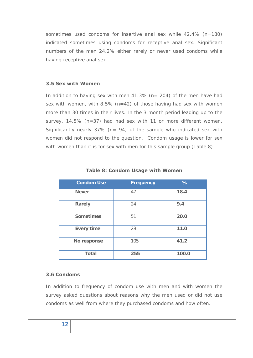sometimes used condoms for insertive anal sex while 42.4% (n=180) indicated sometimes using condoms for receptive anal sex. Significant numbers of the men 24.2% either rarely or never used condoms while having receptive anal sex.

## **3.5 Sex with Women**

In addition to having sex with men  $41.3\%$  (n= 204) of the men have had sex with women, with 8.5% (n=42) of those having had sex with women more than 30 times in their lives. In the 3 month period leading up to the survey, 14.5% (n=37) had had sex with 11 or more different women. Significantly nearly 37% (n= 94) of the sample who indicated sex with women did not respond to the question. Condom usage is lower for sex with women than it is for sex with men for this sample group (Table 8)

| <b>Condom Use</b> | <b>Frequency</b> | %     |
|-------------------|------------------|-------|
| <b>Never</b>      | 47               | 18.4  |
| Rarely            | 24               | 9.4   |
| <b>Sometimes</b>  | 51               | 20.0  |
| <b>Every time</b> | 28               | 11.0  |
| No response       | 105              | 41.2  |
| <b>Total</b>      | 255              | 100.0 |

#### **Table 8: Condom Usage with Women**

#### **3.6 Condoms**

In addition to frequency of condom use with men and with women the survey asked questions about reasons why the men used or did not use condoms as well from where they purchased condoms and how often.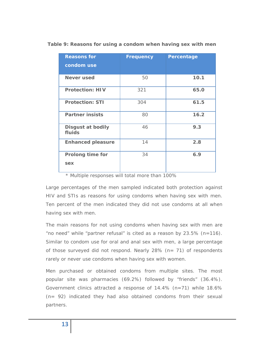| <b>Reasons for</b>                 | <b>Frequency</b> | Percentage |
|------------------------------------|------------------|------------|
| condom use                         |                  |            |
| Never used                         | 50               | 10.1       |
| <b>Protection: HIV</b>             | 321              | 65.0       |
| <b>Protection: STI</b>             | 304              | 61.5       |
| <b>Partner insists</b>             | 80               | 16.2       |
| <b>Disgust at bodily</b><br>fluids | 46               | 9.3        |
| <b>Enhanced pleasure</b>           | 14               | 2.8        |
| <b>Prolong time for</b><br>sex     | 34               | 6.9        |

**Table 9: Reasons for using a condom when having sex with men** 

\* Multiple responses will total more than 100%

Large percentages of the men sampled indicated both protection against HIV and STIs as reasons for using condoms when having sex with men. Ten percent of the men indicated they did not use condoms at all when having sex with men.

The main reasons for not using condoms when having sex with men are "no need" while "partner refusal" is cited as a reason by 23.5% (n=116). Similar to condom use for oral and anal sex with men, a large percentage of those surveyed did not respond. Nearly 28% (n= 71) of respondents rarely or never use condoms when having sex with women.

Men purchased or obtained condoms from multiple sites. The most popular site was pharmacies (69.2%) followed by "friends" (36.4%). Government clinics attracted a response of 14.4% (n=71) while 18.6% (n= 92) indicated they had also obtained condoms from their sexual partners.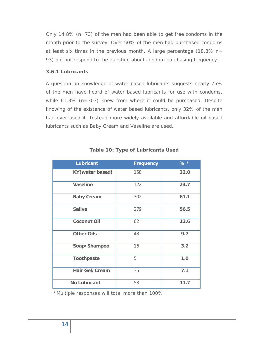Only 14.8% (n=73) of the men had been able to get free condoms in the month prior to the survey. Over 50% of the men had purchased condoms at least six times in the previous month. A large percentage (18.8% n= 93) did not respond to the question about condom purchasing frequency.

### **3.6.1 Lubricants**

A question on knowledge of water based lubricants suggests nearly 75% of the men have heard of water based lubricants for use with condoms, while 61.3% (n=303) knew from where it could be purchased. Despite knowing of the existence of water based lubricants, only 32% of the men had ever used it. Instead more widely available and affordable oil based lubricants such as Baby Cream and Vaseline are used.

| <b>Lubricant</b>        | <b>Frequency</b> | $%$ * |
|-------------------------|------------------|-------|
| <b>KY</b> (water based) | 158              | 32.0  |
| <b>Vaseline</b>         | 122              | 24.7  |
| <b>Baby Cream</b>       | 302              | 61.1  |
| <b>Saliva</b>           | 279              | 56.5  |
| <b>Coconut Oil</b>      | 62               | 12.6  |
| <b>Other Oils</b>       | 48               | 9.7   |
| Soap/Shampoo            | 16               | 3.2   |
| <b>Toothpaste</b>       | 5                | 1.0   |
| <b>Hair Gel/Cream</b>   | 35               | 7.1   |
| <b>No Lubricant</b>     | 58               | 11.7  |

## **Table 10: Type of Lubricants Used**

\*Multiple responses will total more than 100%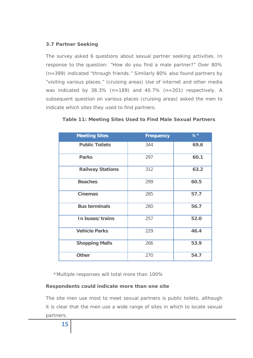## **3.7 Partner Seeking**

The survey asked 6 questions about sexual partner seeking activities. In response to the question: "How do you find a male partner?" Over 80% (n=399) indicated "through friends." Similarly 80% also found partners by "visiting various places." (cruising areas) Use of internet and other media was indicated by 38.3% (n=189) and 40.7% (n=201) respectively. A subsequent question on various places (cruising areas) asked the men to indicate which sites they used to find partners.

| <b>Meeting Sites</b>    | <b>Frequency</b> | $%$ * |
|-------------------------|------------------|-------|
| <b>Public Toilets</b>   | 344              | 69.6  |
| <b>Parks</b>            | 297              | 60.1  |
| <b>Railway Stations</b> | 312              | 63.2  |
| <b>Beaches</b>          | 299              | 60.5  |
| <b>Cinemas</b>          | 285              | 57.7  |
| <b>Bus terminals</b>    | 280              | 56.7  |
| In buses/trains         | 257              | 52.0  |
| <b>Vehicle Parks</b>    | 229              | 46.4  |
| <b>Shopping Malls</b>   | 266              | 53.9  |
| <b>Other</b>            | 270              | 54.7  |

**Table 11: Meeting Sites Used to Find Male Sexual Partners** 

\*Multiple responses will total more than 100%

## **Respondents could indicate more than one site**

The site men use most to meet sexual partners is public toilets, although it is clear that the men use a wide range of sites in which to locate sexual partners.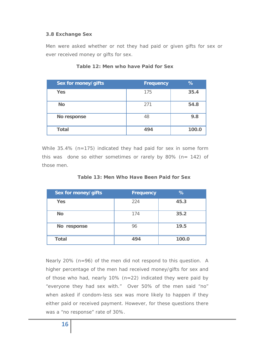#### **3.8 Exchange Sex**

Men were asked whether or not they had paid or given gifts for sex or ever received money or gifts for sex.

| Sex for money/gifts | <b>Frequency</b> | %     |
|---------------------|------------------|-------|
| Yes                 | 175              | 35.4  |
| <b>No</b>           | 271              | 54.8  |
| No response         | 48               | 9.8   |
| <b>Total</b>        | 494              | 100.0 |

#### **Table 12: Men who have Paid for Sex**

While 35.4% (n=175) indicated they had paid for sex in some form this was done so either sometimes or rarely by 80% ( $n= 142$ ) of those men.

| Sex for money/gifts | <b>Frequency</b> | %     |
|---------------------|------------------|-------|
| <b>Yes</b>          | 224              | 45.3  |
| <b>No</b>           | 174              | 35.2  |
| No response         | 96               | 19.5  |
| <b>Total</b>        | 494              | 100.0 |

| Table 13: Men Who Have Been Paid for Sex |  |  |  |  |
|------------------------------------------|--|--|--|--|
|                                          |  |  |  |  |

Nearly 20% (n=96) of the men did not respond to this question. A higher percentage of the men had received money/gifts for sex and of those who had, nearly 10% (n=22) indicated they were paid by "everyone they had sex with." Over 50% of the men said "no" when asked if condom-less sex was more likely to happen if they either paid or received payment. However, for these questions there was a "no response" rate of 30%.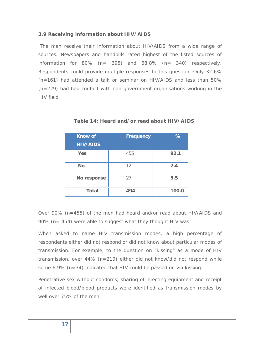## **3.9 Receiving information about HIV/AIDS**

 The men receive their information about HIV/AIDS from a wide range of sources. Newspapers and handbills rated highest of the listed sources of information for  $80\%$  (n= 395) and  $68.8\%$  (n= 340) respectively. Respondents could provide multiple responses to this question. Only 32.6% (n=161) had attended a talk or seminar on HIV/AIDS and less than 50% (n=229) had had contact with non-government organisations working in the HIV field.

| <b>Know of</b><br><b>HIV/AIDS</b> | <b>Frequency</b> | %     |
|-----------------------------------|------------------|-------|
| Yes                               | 455              | 92.1  |
| <b>No</b>                         | 12               | 2.4   |
| No response                       | 27               | 5.5   |
| <b>Total</b>                      | 494              | 100.0 |

**Table 14: Heard and/or read about HIV/AIDS** 

Over 90% (n=455) of the men had heard and/or read about HIV/AIDS and 90% (n= 454) were able to suggest what they thought HIV was.

When asked to name HIV transmission modes, a high percentage of respondents either did not respond or did not know about particular modes of transmission. For example, to the question on "kissing" as a mode of HIV transmission, over 44% (n=219) either did not know/did not respond while some 6.9% (n=34) indicated that HIV could be passed on via kissing.

Penetrative sex without condoms, sharing of injecting equipment and receipt of infected blood/blood products were identified as transmission modes by well over 75% of the men.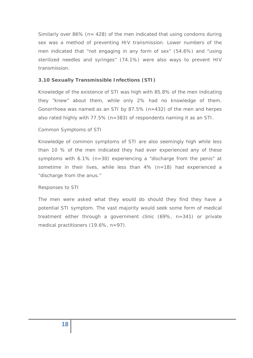Similarly over 86% ( $n= 428$ ) of the men indicated that using condoms during sex was a method of preventing HIV transmission. Lower numbers of the men indicated that "not engaging in any form of sex" (54.6%) and "using sterilized needles and syringes" (74.1%) were also ways to prevent HIV transmission.

### **3.10 Sexually Transmissible Infections (STI)**

Knowledge of the existence of STI was high with 85.8% of the men indicating they "knew" about them, while only 2% had no knowledge of them. Gonorrhoea was named as an STI by 87.5% (n=432) of the men and herpes also rated highly with 77.5% (n=383) of respondents naming it as an STI.

#### *Common Symptoms of STI*

Knowledge of common symptoms of STI are also seemingly high while less than 10 % of the men indicated they had ever experienced any of these symptoms with 6.1% (n=30) experiencing a "discharge from the penis" at sometime in their lives, while less than 4% (n=18) had experienced a "discharge from the anus."

#### *Responses to STI*

The men were asked what they would do should they find they have a potential STI symptom. The vast majority would seek some form of medical treatment either through a government clinic (69%, n=341) or private medical practitioners (19.6%, n=97).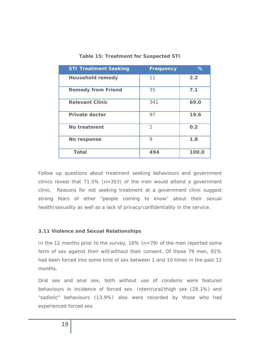| <b>STI Treatment Seeking</b> | <b>Frequency</b> | %     |
|------------------------------|------------------|-------|
| <b>Household remedy</b>      | 11               | 2.2   |
| <b>Remedy from Friend</b>    | 35               | 7.1   |
| <b>Relevant Clinic</b>       | 341              | 69.0  |
| <b>Private doctor</b>        | 97               | 19.6  |
| No treatment                 | 1                | 0.2   |
| No response                  | 9                | 1.8   |
| <b>Total</b>                 | 494              | 100.0 |

#### **Table 15: Treatment for Suspected STI**

Follow up questions about treatment seeking behaviours and government clinics reveal that  $71.5\%$  (n=353) of the men would attend a government clinic. Reasons for not seeking treatment at a government clinic suggest strong fears of other "people coming to know" about their sexual health/sexuality as well as a lack of privacy/confidentiality in the service.

#### **3.11 Violence and Sexual Relationships**

In the 12 months prior to the survey,  $16\%$  (n=79) of the men reported some form of sex against their will/without their consent. Of those 79 men, 91% had been forced into some kind of sex between 1 and 10 times in the past 12 months.

Oral sex and anal sex, both without use of condoms were featured behaviours in incidence of forced sex. Intercrural/thigh sex (29.1%) and "sadistic" behaviours (13.9%) also were recorded by those who had experienced forced sex.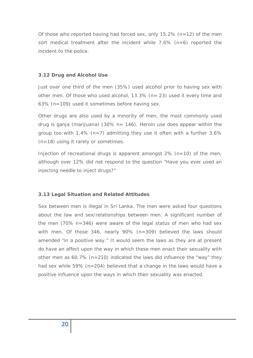Of those who reported having had forced sex, only 15.2% (n=12) of the men sort medical treatment after the incident while  $7.6\%$  (n=6) reported the incident to the police.

#### **3.12 Drug and Alcohol Use**

Just over one third of the men (35%) used alcohol prior to having sex with other men. Of those who used alcohol, 13.3% (n= 23) used it every time and 63% (n=109) used it sometimes before having sex.

Other drugs are also used by a minority of men, the most commonly used drug is ganja (marijuana) (30% n= 146). Heroin use does appear within the group too with 1.4% ( $n=7$ ) admitting they use it often with a further 3.6% (n=18) using it rarely or sometimes.

Injection of recreational drugs is apparent amongst  $2\%$  (n=10) of the men, although over 12% did not respond to the question "Have you ever used an injecting needle to inject drugs?"

#### **3.13 Legal Situation and Related Attitudes**

Sex between men is illegal in Sri Lanka. The men were asked four questions about the law and sex/relationships between men. A significant number of the men (70% n=346) were aware of the legal status of men who had sex with men. Of those 346, nearly 90% (n=309) believed the laws should amended "in a positive way." It would seem the laws as they are at present do have an affect upon the way in which these men enact their sexuality with other men as 60.7% (n=210) indicated the laws did influence the "way" they had sex while 59% (n=204) believed that a change in the laws would have a positive influence upon the ways in which their sexuality was enacted.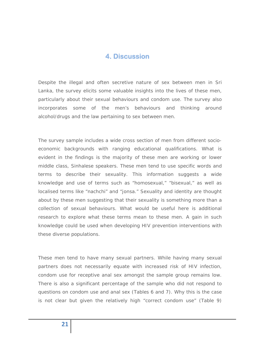## **4. Discussion**

Despite the illegal and often secretive nature of sex between men in Sri Lanka, the survey elicits some valuable insights into the lives of these men, particularly about their sexual behaviours and condom use. The survey also incorporates some of the men's behaviours and thinking around alcohol/drugs and the law pertaining to sex between men.

The survey sample includes a wide cross section of men from different socioeconomic backgrounds with ranging educational qualifications. What is evident in the findings is the majority of these men are working or lower middle class, Sinhalese speakers. These men tend to use specific words and terms to describe their sexuality. This information suggests a wide knowledge and use of terms such as "homosexual," "bisexual," as well as localised terms like "nachchi" and "jonsa." Sexuality and identity are thought about by these men suggesting that their sexuality is something more than a collection of sexual behaviours. What would be useful here is additional research to explore what these terms mean to these men. A gain in such knowledge could be used when developing HIV prevention interventions with these diverse populations.

These men tend to have many sexual partners. While having many sexual partners does not necessarily equate with increased risk of HIV infection, condom use for receptive anal sex amongst the sample group remains low. There is also a significant percentage of the sample who did not respond to questions on condom use and anal sex (Tables 6 and 7). Why this is the case is not clear but given the relatively high "correct condom use" (Table 9)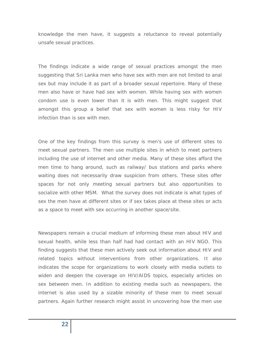knowledge the men have, it suggests a reluctance to reveal potentially unsafe sexual practices.

The findings indicate a wide range of sexual practices amongst the men suggesting that Sri Lanka men who have sex with men are not limited to anal sex but may include it as part of a broader sexual repertoire. Many of these men also have or have had sex with women. While having sex with women condom use is even lower than it is with men. This might suggest that amongst this group a belief that sex with women is less risky for HIV infection than is sex with men.

One of the key findings from this survey is men's use of different sites to meet sexual partners. The men use multiple sites in which to meet partners including the use of internet and other media. Many of these sites afford the men time to hang around, such as railway/ bus stations and parks where waiting does not necessarily draw suspicion from others. These sites offer spaces for not only meeting sexual partners but also opportunities to socialize with other MSM. What the survey does not indicate is what types of sex the men have at different sites or if sex takes place at these sites or acts as a space to meet with sex occurring in another space/site.

Newspapers remain a crucial medium of informing these men about HIV and sexual health, while less than half had had contact with an HIV NGO. This finding suggests that these men actively seek out information about HIV and related topics without interventions from other organizations. It also indicates the scope for organizations to work closely with media outlets to widen and deepen the coverage on HIV/AIDS topics, especially articles on sex between men. In addition to existing media such as newspapers, the internet is also used by a sizable minority of these men to meet sexual partners. Again further research might assist in uncovering how the men use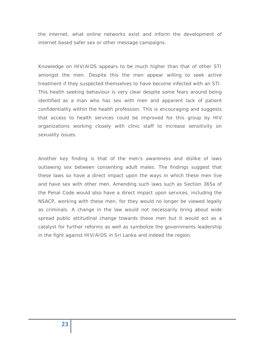the internet, what online networks exist and inform the development of internet based safer sex or other message campaigns.

Knowledge on HIV/AIDS appears to be much higher than that of other STI amongst the men. Despite this the men appear willing to seek active treatment if they suspected themselves to have become infected with an STI. This health seeking behaviour is very clear despite some fears around being identified as a man who has sex with men and apparent lack of patient confidentiality within the health profession. This is encouraging and suggests that access to health services could be improved for this group by HIV organizations working closely with clinic staff to increase sensitivity on sexuality issues.

Another key finding is that of the men's awareness and dislike of laws outlawing sex between consenting adult males. The findings suggest that these laws so have a direct impact upon the ways in which these men live and have sex with other men. Amending such laws such as Section 365a of the Penal Code would also have a direct impact upon services, including the NSACP, working with these men, for they would no longer be viewed legally as criminals. A change in the law would not necessarily bring about wide spread public attitudinal change towards these men but it would act as a catalyst for further reforms as well as symbolize the governments leadership in the fight against HIV/AIDS in Sri Lanka and indeed the region.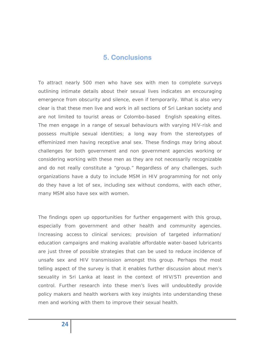## **5. Conclusions**

To attract nearly 500 men who have sex with men to complete surveys outlining intimate details about their sexual lives indicates an encouraging emergence from obscurity and silence, even if temporarily. What is also very clear is that these men live and work in all sections of Sri Lankan society and are not limited to tourist areas or Colombo-based English speaking elites. The men engage in a range of sexual behaviours with varying HIV-risk and possess multiple sexual identities; a long way from the stereotypes of effeminized men having receptive anal sex. These findings may bring about challenges for both government and non government agencies working or considering working with these men as they are not necessarily recognizable and do not really constitute a "group." Regardless of any challenges, such organizations have a duty to include MSM in HIV programming for not only do they have a lot of sex, including sex without condoms, with each other, many MSM also have sex with women.

The findings open up opportunities for further engagement with this group, especially from government and other health and community agencies. Increasing access to clinical services; provision of targeted information/ education campaigns and making available affordable water-based lubricants are just three of possible strategies that can be used to reduce incidence of unsafe sex and HIV transmission amongst this group. Perhaps the most telling aspect of the survey is that it enables further discussion about men's sexuality in Sri Lanka at least in the context of HIV/STI prevention and control. Further research into these men's lives will undoubtedly provide policy makers and health workers with key insights into understanding these men and working with them to improve their sexual health.